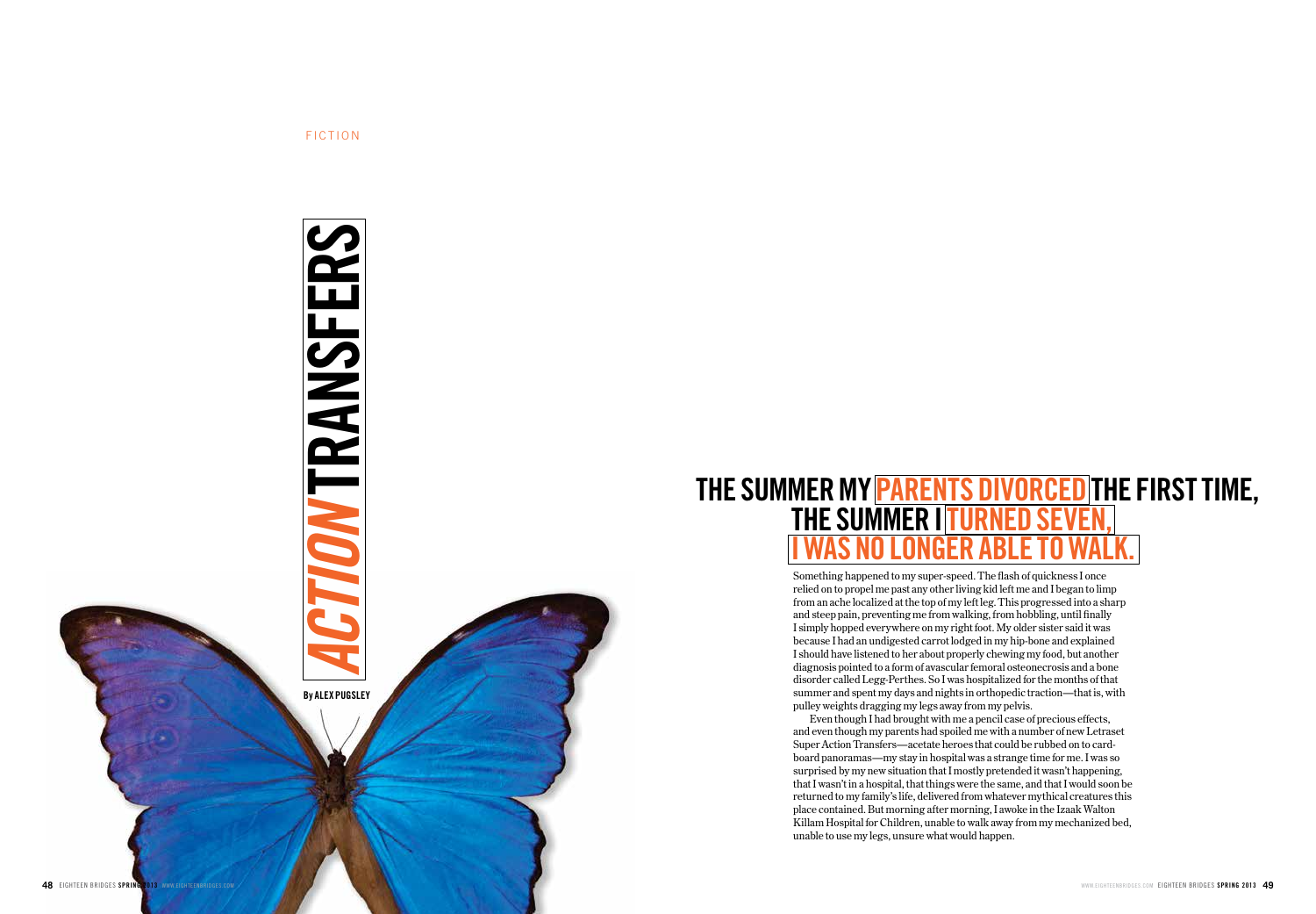

FICTION

# **The summer my parents divorced the first time, the summer Iturned seven, I was no longer able to wal k.**

Something happened to my super-speed. The flash of quickness I once relied on to propel me past any other living kid left me and I began to limp from an ache localized at the top of my left leg. This progressed into a sharp and steep pain, preventing me from walking, from hobbling, until finally I simply hopped everywhere on my right foot. My older sister said it was because I had an undigested carrot lodged in my hip-bone and explained I should have listened to her about properly chewing my food, but another diagnosis pointed to a form of avascular femoral osteonecrosis and a bone disorder called Legg-Perthes. So I was hospitalized for the months of that summer and spent my days and nights in orthopedic traction—that is, with pulley weights dragging my legs away from my pelvis.

Even though I had brought with me a pencil case of precious effects, and even though my parents had spoiled me with a number of new Letraset Super Action Transfers—acetate heroes that could be rubbed on to cardboard panoramas—my stay in hospital was a strange time for me. I was so surprised by my new situation that I mostly pretended it wasn't happening, that I wasn't in a hospital, that things were the same, and that I would soon be returned to my family's life, delivered from whatever mythical creatures this place contained. But morning after morning, I awoke in the Izaak Walton Killam Hospital for Children, unable to walk away from my mechanized bed, unable to use my legs, unsure what would happen.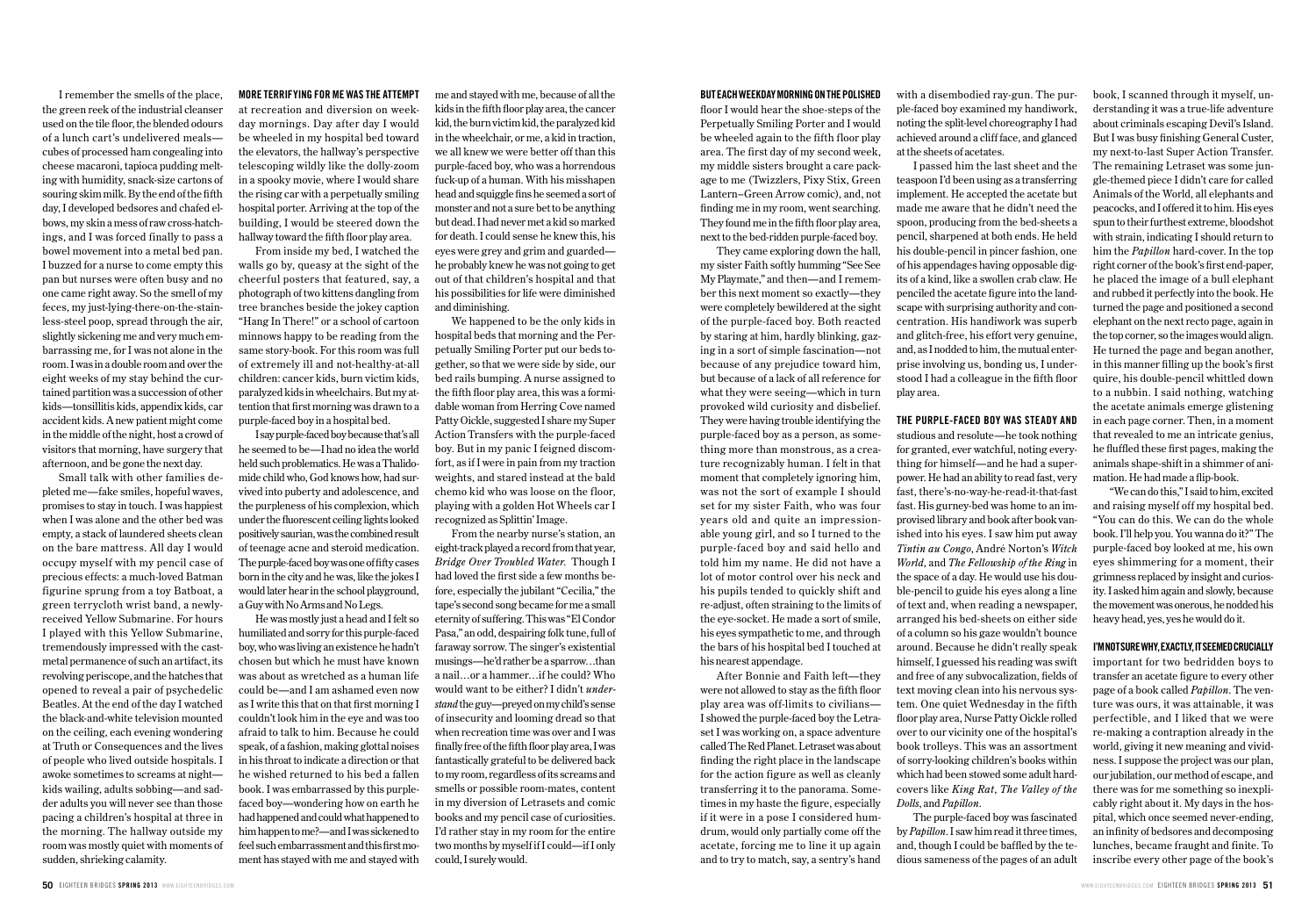I remember the smells of the place, the green reek of the industrial cleanser used on the tile floor, the blended odours of a lunch cart's undelivered meals cubes of processed ham congealing into cheese macaroni, tapioca pudding melting with humidity, snack-size cartons of souring skim milk. By the end of the fifth day, I developed bedsores and chafed elbows, my skin a mess of raw cross-hatchings, and I was forced finally to pass a bowel movement into a metal bed pan. I buzzed for a nurse to come empty this pan but nurses were often busy and no one came right away. So the smell of my feces, my just-lying-there-on-the-stainless-steel poop, spread through the air, slightly sickening me and very much embarrassing me, for I was not alone in the room. I was in a double room and over the eight weeks of my stay behind the curtained partition was a succession of other kids—tonsillitis kids, appendix kids, car accident kids. A new patient might come in the middle of the night, host a crowd of visitors that morning, have surgery that afternoon, and be gone the next day.

Small talk with other families depleted me—fake smiles, hopeful waves, promises to stay in touch. I was happiest when I was alone and the other bed was empty, a stack of laundered sheets clean on the bare mattress. All day I would occupy myself with my pencil case of precious effects: a much-loved Batman figurine sprung from a toy Batboat, a green terrycloth wrist band, a newlyreceived Yellow Submarine. For hours I played with this Yellow Submarine, tremendously impressed with the castmetal permanence of such an artifact, its revolving periscope, and the hatches that opened to reveal a pair of psychedelic Beatles. At the end of the day I watched the black-and-white television mounted on the ceiling, each evening wondering at Truth or Consequences and the lives of people who lived outside hospitals. I awoke sometimes to screams at night kids wailing, adults sobbing—and sadder adults you will never see than those pacing a children's hospital at three in the morning. The hallway outside my room was mostly quiet with moments of sudden, shrieking calamity.

**More terrifying for me was the attempt** at recreation and diversion on weekday mornings. Day after day I would be wheeled in my hospital bed toward the elevators, the hallway's perspective telescoping wildly like the dolly-zoom in a spooky movie, where I would share the rising car with a perpetually smiling hospital porter. Arriving at the top of the building, I would be steered down the hallway toward the fifth floor play area.

From inside my bed, I watched the walls go by, queasy at the sight of the cheerful posters that featured, say, a photograph of two kittens dangling from tree branches beside the jokey caption "Hang In There!" or a school of cartoon minnows happy to be reading from the same story-book. For this room was full of extremely ill and not-healthy-at-all children: cancer kids, burn victim kids, paralyzed kids in wheelchairs. But my attention that first morning was drawn to a purple-faced boy in a hospital bed.

I say purple-faced boy because that's all he seemed to be—I had no idea the world held such problematics. He was a Thalidomide child who, God knows how, had survived into puberty and adolescence, and the purpleness of his complexion, which under the fluorescent ceiling lights looked positively saurian, was the combined result of teenage acne and steroid medication. The purple-faced boy was one of fifty cases born in the city and he was, like the jokes I would later hear in the school playground, a Guy with No Arms and No Legs.

He was mostly just a head and I felt so humiliated and sorry for this purple-faced boy, who was living an existence he hadn't chosen but which he must have known was about as wretched as a human life could be—and I am ashamed even now as I write this that on that first morning I couldn't look him in the eye and was too afraid to talk to him. Because he could speak, of a fashion, making glottal noises in his throat to indicate a direction or that he wished returned to his bed a fallen book. I was embarrassed by this purplefaced boy—wondering how on earth he had happened and could what happened to him happen to me?—and I was sickened to feel such embarrassment and this first moment has stayed with me and stayed with me and stayed with me, because of all the kids in the fifth floor play area, the cancer kid, the burn victim kid, the paralyzed kid in the wheelchair, or me, a kid in traction, we all knew we were better off than this purple-faced boy, who was a horrendous fuck-up of a human. With his misshapen head and squiggle fins he seemed a sort of monster and not a sure bet to be anything but dead. I had never met a kid so marked for death. I could sense he knew this, his eyes were grey and grim and guarded he probably knew he was not going to get out of that children's hospital and that his possibilities for life were diminished and diminishing.

We happened to be the only kids in hospital beds that morning and the Perpetually Smiling Porter put our beds together, so that we were side by side, our bed rails bumping. A nurse assigned to the fifth floor play area, this was a formidable woman from Herring Cove named Patty Oickle, suggested I share my Super Action Transfers with the purple-faced boy. But in my panic I feigned discomfort, as if I were in pain from my traction weights, and stared instead at the bald chemo kid who was loose on the floor, playing with a golden Hot Wheels car I recognized as Splittin' Image.

From the nearby nurse's station, an eight-track played a record from that year, *Bridge Over Troubled Water*. Though I had loved the first side a few months before, especially the jubilant "Cecilia," the tape's second song became for me a small eternity of suffering. This was "El Condor Pasa," an odd, despairing folk tune, full of faraway sorrow. The singer's existential musings—he'd rather be a sparrow…than a nail…or a hammer…if he could? Who would want to be either? I didn't *understand* the guy—preyed on my child's sense of insecurity and looming dread so that when recreation time was over and I was finally free of the fifth floor play area, I was fantastically grateful to be delivered back to my room, regardless of its screams and smells or possible room-mates, content in my diversion of Letrasets and comic books and my pencil case of curiosities. I'd rather stay in my room for the entire two months by myself if I could—if I only could, I surely would.

#### **But each wee kday morning onthepolis hed**

floor I would hear the shoe-steps of the Perpetually Smiling Porter and I would be wheeled again to the fifth floor play area. The first day of my second week, my middle sisters brought a care package to me (Twizzlers, Pixy Stix, Green Lantern–Green Arrow comic), and, not finding me in my room, went searching. They found me in the fifth floor play area, next to the bed-ridden purple-faced boy.

They came exploring down the hall, my sister Faith softly humming "See See My Playmate," and then—and I remember this next moment so exactly—they were completely bewildered at the sight of the purple-faced boy. Both reacted by staring at him, hardly blinking, gazing in a sort of simple fascination—not because of any prejudice toward him, but because of a lack of all reference for what they were seeing—which in turn provoked wild curiosity and disbelief. They were having trouble identifying the purple-faced boy as a person, as something more than monstrous, as a creature recognizably human. I felt in that moment that completely ignoring him, was not the sort of example I should set for my sister Faith, who was four years old and quite an impressionable young girl, and so I turned to the purple-faced boy and said hello and told him my name. He did not have a lot of motor control over his neck and his pupils tended to quickly shift and re-adjust, often straining to the limits of the eye-socket. He made a sort of smile, his eyes sympathetic to me, and through the bars of his hospital bed I touched at his nearest appendage.

After Bonnie and Faith left—they were not allowed to stay as the fifth floor play area was off-limits to civilians— I showed the purple-faced boy the Letraset I was working on, a space adventure called The Red Planet. Letraset was about finding the right place in the landscape for the action figure as well as cleanly transferring it to the panorama. Sometimes in my haste the figure, especially if it were in a pose I considered humdrum, would only partially come off the acetate, forcing me to line it up again and to try to match, say, a sentry's hand with a disembodied ray-gun. The purple-faced boy examined my handiwork, noting the split-level choreography I had achieved around a cliff face, and glanced at the sheets of acetates.

I passed him the last sheet and the teaspoon I'd been using as a transferring implement. He accepted the acetate but made me aware that he didn't need the spoon, producing from the bed-sheets a pencil, sharpened at both ends. He held his double-pencil in pincer fashion, one of his appendages having opposable digits of a kind, like a swollen crab claw. He penciled the acetate figure into the landscape with surprising authority and concentration. His handiwork was superb and glitch-free, his effort very genuine, and, as I nodded to him, the mutual enterprise involving us, bonding us, I understood I had a colleague in the fifth floor play area.

### **The purple-faced boy was steady and**

studious and resolute—he took nothing for granted, ever watchful, noting everything for himself—and he had a superpower. He had an ability to read fast, very fast, there's-no-way-he-read-it-that-fast fast. His gurney-bed was home to an improvised library and book after book vanished into his eyes. I saw him put away *Tintin au Congo*, André Norton's *Witch World*, and *The Fellowship of the Ring* in the space of a day. He would use his double-pencil to guide his eyes along a line of text and, when reading a newspaper, arranged his bed-sheets on either side of a column so his gaze wouldn't bounce around. Because he didn't really speak himself, I guessed his reading was swift and free of any subvocalization, fields of text moving clean into his nervous system. One quiet Wednesday in the fifth floor play area, Nurse Patty Oickle rolled over to our vicinity one of the hospital's book trolleys. This was an assortment of sorry-looking children's books within which had been stowed some adult hardcovers like *King Rat*, *The Valley of the Dolls*, and *Papillon*.

The purple-faced boy was fascinated by *Papillon*. I saw him read it three times, and, though I could be baffled by the tedious sameness of the pages of an adult book, I scanned through it myself, understanding it was a true-life adventure about criminals escaping Devil's Island. But I was busy finishing General Custer, my next-to-last Super Action Transfer. The remaining Letraset was some jungle-themed piece I didn't care for called Animals of the World, all elephants and peacocks, and I offered it to him. His eyes spun to their furthest extreme, bloodshot with strain, indicating I should return to him the *Papillon* hard-cover. In the top right corner of the book's first end-paper, he placed the image of a bull elephant and rubbed it perfectly into the book. He turned the page and positioned a second elephant on the next recto page, again in the top corner, so the images would align. He turned the page and began another, in this manner filling up the book's first quire, his double-pencil whittled down to a nubbin. I said nothing, watching the acetate animals emerge glistening in each page corner. Then, in a moment that revealed to me an intricate genius, he fluffled these first pages, making the animals shape-shift in a shimmer of animation. He had made a flip-book.

"We can do this," I said to him, excited and raising myself off my hospital bed. "You can do this. We can do the whole book. I'll help you. You wanna do it?" The purple-faced boy looked at me, his own eyes shimmering for a moment, their grimness replaced by insight and curiosity. I asked him again and slowly, because the movement was onerous, he nodded his heavy head, yes, yes he would do it.

#### **I'M NOT SURE WHY, EXACTLY, IT SEEMED CRUCIALLY**

important for two bedridden boys to transfer an acetate figure to every other page of a book called *Papillon*. The venture was ours, it was attainable, it was perfectible, and I liked that we were re-making a contraption already in the world, giving it new meaning and vividness. I suppose the project was our plan, our jubilation, our method of escape, and there was for me something so inexplicably right about it. My days in the hospital, which once seemed never-ending, an infinity of bedsores and decomposing lunches, became fraught and finite. To inscribe every other page of the book's